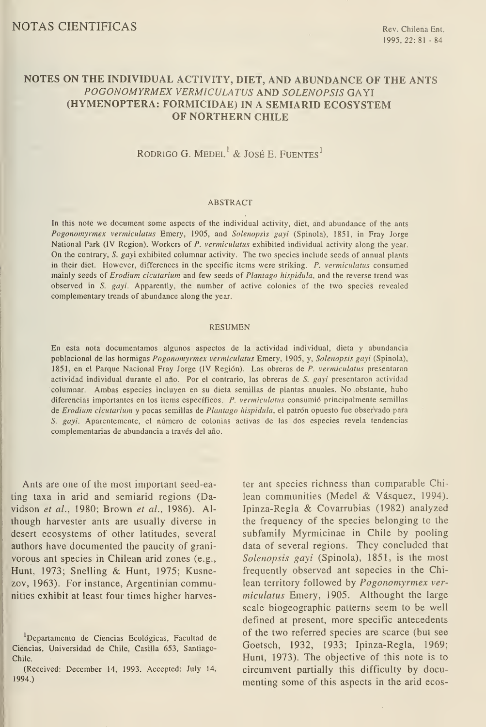# NOTES ON THE INDIVIDUAL ACTIVITY, DIET, AND ABUNDANCE OF THE ANTS POGONOMYRMEX VERMICULATUS AND SOLENOPSIS GAYI (HYMENOPTERA: FORMICIDAE) IN A SEMIARID ECOSYSTEM OF NORTHERN CHILE

RODRIGO G. MEDEL<sup>1</sup> & JOSÉ E. FUENTES<sup>1</sup>

## ABSTRACT

In this note we document some aspects of the individual activity, diet, and abundance of the ants Pogonomyrmex vermiculatus Emery, 1905, and Solenopsis gayi (Spinola), 1851, in Fray Jorge National Park (IV Region). Workers of P. vermiculatus exhibited individual activity along the year. On the contrary, S. gayi exhibited columnar activity. The two species include seeds of annual plants in their diet. However, differences in the specific items were striking. P. vermiculatus consumed mainly seeds of Erodium cicutarium and few seeds of Plantago hispidula, and the reverse trend was observed in S. gayi. Apparently, the number of active colonies of the two species revealed complementary trends of abundance along the year.

#### RESUMEN

En esta nota documentamos algunos aspectos de la actividad individual, dieta y abundancia poblacional de las hormigas Pogonomyrmex vermiculatus Emery, 1905, y, Solenopsis gayi (Spinola), 1851, en el Parque Nacional Fray Jorge (IV Región). Las obreras de P. vermiculatus presentaron actividad individual durante el año. Por el contrario, las obreras de S. gayi presentaron actividad columnar. Ambas especies incluyen en su dieta semillas de plantas anuales. No obstante, hubo diferencias importantes en los items específicos. P. vermiculatus consumió principalmente semillas de Erodium cicutarium y pocas semillas de Plantago hispidula, el patrón opuesto fue observado para S. gayi. Aparentemente, el número de colonias activas de las dos especies revela tendencias complementarias de abundancia a través del año.

Ants are one of the most important seed-eating taxa in arid and semiarid regions (Davidson et al., 1980; Brown et al., 1986). AI though harvester ants are usually diverse in desert ecosystems of other latitudes, several authors have documented the paucity of grani vorous ant species in Chilean arid zones (e.g., Hunt, 1973; Snelling & Hunt, 1975; Kusnezov, 1963). For instance, Argentinian communities exhibit at least four times higher harvester ant species richness than comparable Chilean communities (Medel & Vásquez, 1994). Ipinza-Regla & Covarrubias (1982) analyzed the frequency of the species belonging to the subfamily Myrmicinae in Chile by pooling data of several regions. They concluded that Solenopsis gayi (Spinola), 1851, is the most frequently observed ant sepecies in the Chilean territory followed by Pogonomyrmex ver miculatus Emery, 1905. Althought the large scale biogeographic patterns seem to be well defined at present, more specific antecedents of the two referred species are scarce (but see Goetsch, 1932, 1933; Ipinza-Regla, 1969; Hunt, 1973). The objective of this note is to circumvent partially this difficulty by documenting some of this aspects in the arid ecos-

Departamento de Ciencias Ecológicas, Facultad de Ciencias, Universidad de Chile, Casilla 653, Santiago-Chile.

<sup>(</sup>Received: December 14, 1993. Accepted: July 14, 1994.)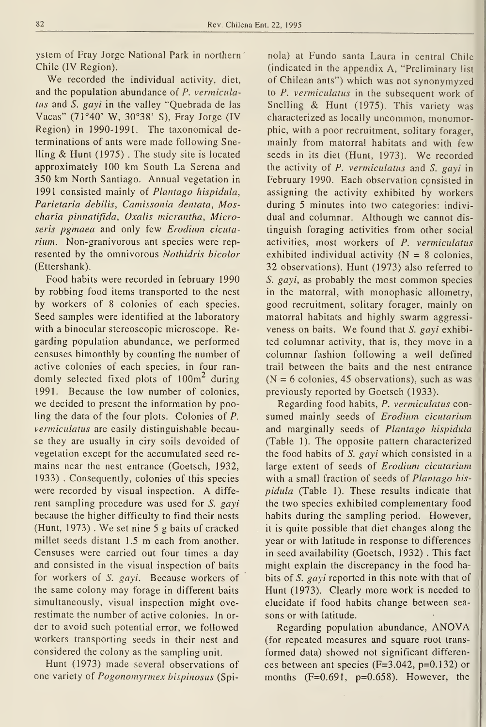ystem of Fray Jorge National Park in northern Chile (IV Region).

We recorded the individual activity, diet, and the population abundance of P. vermiculatus and S. gayi in the valley "Quebrada de las Vacas" (71°40' W, 30°38' S), Fray Jorge (IV Región) in 1990-1991. The taxonomical de terminations of ants were made following Snelling & Hunt (1975) . The study site is located approximately 100 km South La Serena and 350 km North Santiago. Annual vegetation in 1991 consisted mainly of Plantago hispidula, Parietaria debilis, Camissonia dentata, Moscharia pinnatifida, Oxalis micrantha, Microseris pgmaea and only few Erodium cicutarium. Non-granivorous ant species were rep resented by the omnivorous Nothidris bicolor (Ettershank).

Food habits were recorded in february 1990 by robbing food items transported to the nest by workers of 8 colonies of each species. Seed samples were identified at the laboratory with a binocular stereoscopic microscope. Regarding population abundance, we performed censuses bimonthly by counting the number of active colonies of each species, in four ran domly selected fixed plots of  $100m<sup>2</sup>$  during 1991. Because the low number of colonies, we decided to present the information by pooling the data of the four plots. Colonies of P. vermiculatus are easily distinguishable because they are usually in ciry soils devoided of vegetation except for the accumulated seed re mains near the nest entrance (Goetsch, 1932, 1933) . Consequently, colonies of this species were recorded by visual inspection. A diffe rent sampling procedure was used for S. gayi because the higher difficulty to find their nests (Hunt, 1973) . We setnine <sup>5</sup> <sup>g</sup> baits of cracked millet seeds distant 1.5 m each from another. Censuses were carried out four times a day and consisted in the visual inspection of baits for workers of S. gayi. Because workers of the same colony may forage in different baits simultaneously, visual inspection might overestimate the number of active colonies. In or der to avoid such potential error, we followed workers transporting seeds in their nest and considered the colony as the sampling unit.

Hunt (1973) made several observations of one variety of Pogonomyrmex bispinosus (Spi-

nola) at Fundo santa Laura in central Chile (indicated in the appendix A, "Preliminary list of Chilean ants") which was not synonymyzed to P. vermiculatus in the subsequent work of Snelling & Hunt (1975). This variety was characterized as locally uncommon, monomorphic, with a poor recruitment, solitary forager, mainly from matorral habitats and with few seeds in its diet (Hunt, 1973). We recorded the activity of P. vermiculatus and S. gayi in February 1990. Each observation consisted in assigning the activity exhibited by workers during 5 minutes into two categories: indivi dual and columnar. Although we cannot dis tinguish foraging activities from other social activities, most workers of P. vermiculatus exhibited individual activity  $(N = 8$  colonies, 32 observations). Hunt (1973) also referred to S. gayi, as probably the most common species in the matorral, with monophasic allometry, good recruitment, solitary forager, mainly on matorral habitats and highly swarm aggressi veness on baits. We found that S. gayi exhibited columnar activity, that is, they move in a columnar fashion following a well defined trail between the baits and the nest entrance  $(N = 6$  colonies, 45 observations), such as was previously reported by Goetsch (1933).

Regarding food habits, P. vermiculatus con sumed mainly seeds of Erodium cicutarium and marginally seeds of Plantago hispidula (Table 1). The opposite pattern characterized the food habits of S. gayi which consisted in a large extent of seeds of Erodium cicutarium with a small fraction of seeds of Plantago hispidula (Table 1). These results indícate that the two species exhibited complementary food habits during the sampling period. However, it is quite possible that diet changes along the year or with latitude in response to differences in seed availability (Goetsch, 1932) . This fact might explain the discrepancy in the food habits of S. gayi reported in this note with that of Hunt (1973). Clearly more work is needed to elucídate if food habits change between sea sons or with latitude.

Regarding population abundance, ANOVA (for repeated measures and square root transformed data) showed not significant differen ces between ant species (F=3.042, p=0.132) or months  $(F=0.691, p=0.658)$ . However, the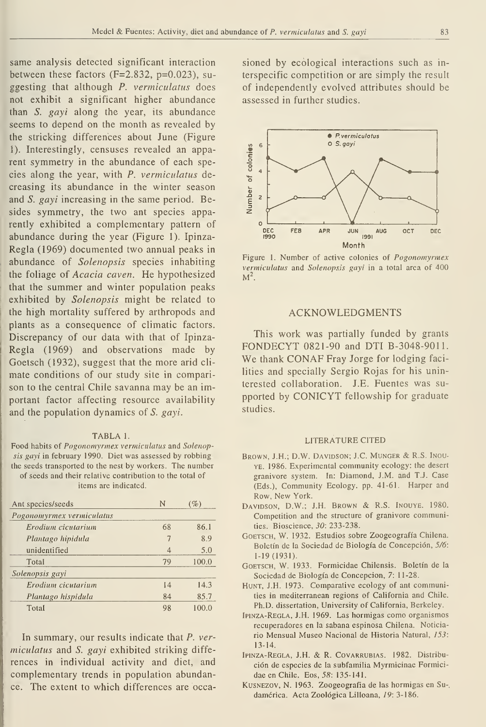same analysis detected significant interaction between these factors  $(F=2.832, p=0.023)$ , suggesting that although P. vermiculatus does not exhibit a significant higher abundance than  $S$ . gayi along the year, its abundance seems to depend on the month as revealed by the stricking differences about June (Figure 1). Interestingly, censuses revealed an apparent symmetry in the abundance of each species along the year, with P. vermiculatus decreasing its abundance in the winter season and *S. gayi* increasing in the same period. Besides symmetry, the two ant species apparently exhibited a complementary pattern of abundance during the year (Figure 1). Ipinza-Regla (1969) documented two annual peaks in abundance of Solenopsis species inhabiting the foliage of Acacia caven. He hypothesized that the summer and winter population peaks exhibited by Solenopsis might be related to the high mortality suffered by arthropods and plants as a consequence of climatic factors. Discrepancy of our data with that of Ipinza-Regla (1969) and observations made by Goetsch (1932), suggest that the more arid cli mate conditions of our study site in comparison to the central Chile savanna may be an important factor affecting resource availability and the population dynamics of S. gayi.

#### TABLA 1.

Food habits of Pogonomyrmex vermiculatus and Solenopsis gayi in february 1990. Diet was assessed by robbing the seeds transported to the nest by workers. The number of seeds and their relative contribution to the total of

items are indicated.

| Ant species/seeds         | N  | $( \% )$ |
|---------------------------|----|----------|
| Pogonomyrmex vermiculatus |    |          |
| Erodium cicutarium        | 68 | 86.1     |
| Plantago hipidula         | 7  | 8.9      |
| unidentified              | 4  | 5.0      |
| Total                     | 79 | 100.0    |
| Solenopsis gayi           |    |          |
| Erodium cicutarium        | 14 | 14.3     |
| Plantago hispidula        | 84 | 85.7     |
| Total                     | 98 | 100.0    |

In summary, our results indícate that P. ver miculatus and S. gayi exhibited striking diffe rences in individual activity and diet, and complementary trends in population abundance. The extent to which differences are occasioned by ecological interactions such as in terspecific competition or are simply the result of independently evolved attributes should be assessed in further studies.



Figure 1. Number of active colonies of Pogonomyrmex vermiculatus and Solenopsis gayi in a total area of 400  $M^2$ .

## ACKNOWLEDGMENTS

This work was partially funded by grants FONDECYT 0821-90 and DTI B-3048-9011. We thank CONAF Fray Jorge for lodging facilities and specially Sergio Rojas for his uninterested collaboration. J.E. Fuentes was su pported by CONICYT fellowship for gradúate studies.

### LITERATURE CITED

- Brown, J.H.; D.W. Davidson; J.C. Munger & R.S. Inou-YE. 1986. Experimental community ecology: the desert granivore system. In: Diamond, J.M. and T.J. Case (Eds.), Community Ecology. pp. 41-61. Harper and Row, New York.
- Davidson, D.W.; J.H. Brown & R.S. Inouye. 1980. Competition and the structure of granivore communities. Bioscience, 30: 233-238.
- GOETSCH, W. 1932. Estudios sobre Zoogeografía Chilena. Boletín de la Sociedad de Biología de Concepción, 5/6: 1-19(1931).
- GOETSCH, W. 1933. Formicidae Chilensis. Boletín de la Sociedad de Biología de Concepción, 7: 11-28.
- HUNT, J.H. 1973. Comparative ecology of ant communities in mediterranean regions of California and Chile. Ph.D. dissertation, University of California, Berkeley.
- Ipinza-Regla, J.H. 1969. Las hormigas como organismos recuperadores en la sabana espinosa Chilena. Noticiario Mensual Museo Nacional de Historia Natural, 153: 13-14.
- Ipinza-Regla, J.H. & R.Covarrubias. 1982. Distribu ción de especies de la subfamilia Myrmicinae Formici dae en Chile. Eos, 58: 135-141.
- KusNEZOV, N. 1963. Zoogeografía de las hormigas en Su-, damérica. Acta Zoológica Lilloana, 19: 3-186.